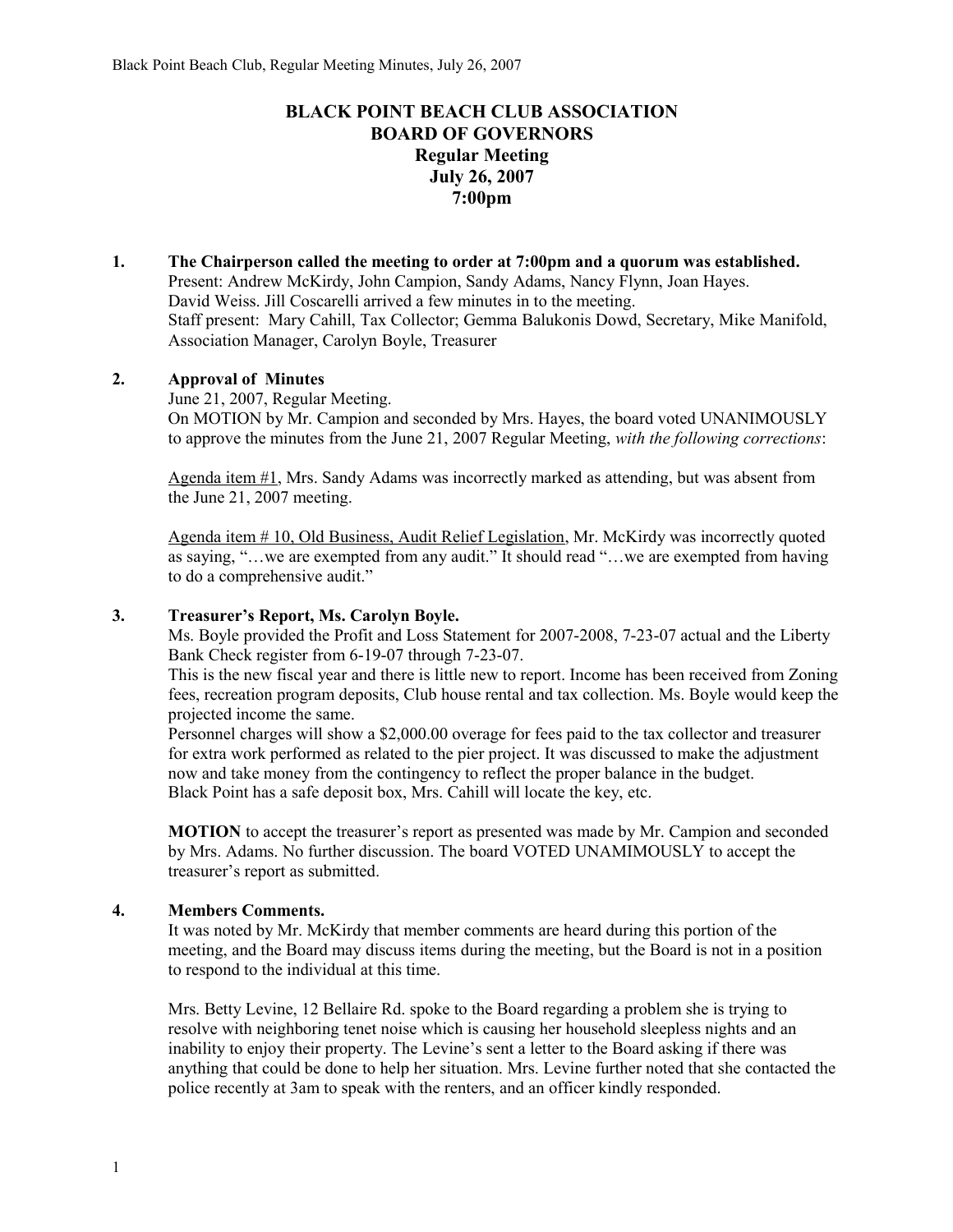# **BLACK POINT BEACH CLUB ASSOCIATION BOARD OF GOVERNORS Regular Meeting July 26, 2007 7:00pm**

**1. The Chairperson called the meeting to order at 7:00pm and a quorum was established.**  Present: Andrew McKirdy, John Campion, Sandy Adams, Nancy Flynn, Joan Hayes. David Weiss. Jill Coscarelli arrived a few minutes in to the meeting. Staff present: Mary Cahill, Tax Collector; Gemma Balukonis Dowd, Secretary, Mike Manifold, Association Manager, Carolyn Boyle, Treasurer

### **2. Approval of Minutes**

June 21, 2007, Regular Meeting. On MOTION by Mr. Campion and seconded by Mrs. Hayes, the board voted UNANIMOUSLY to approve the minutes from the June 21, 2007 Regular Meeting, *with the following corrections*:

Agenda item  $\#1$ , Mrs. Sandy Adams was incorrectly marked as attending, but was absent from the June 21, 2007 meeting.

Agenda item # 10, Old Business, Audit Relief Legislation, Mr. McKirdy was incorrectly quoted as saying, "…we are exempted from any audit." It should read "…we are exempted from having to do a comprehensive audit."

### **3. Treasurer's Report, Ms. Carolyn Boyle.**

Ms. Boyle provided the Profit and Loss Statement for 2007-2008, 7-23-07 actual and the Liberty Bank Check register from 6-19-07 through 7-23-07.

This is the new fiscal year and there is little new to report. Income has been received from Zoning fees, recreation program deposits, Club house rental and tax collection. Ms. Boyle would keep the projected income the same.

Personnel charges will show a \$2,000.00 overage for fees paid to the tax collector and treasurer for extra work performed as related to the pier project. It was discussed to make the adjustment now and take money from the contingency to reflect the proper balance in the budget. Black Point has a safe deposit box, Mrs. Cahill will locate the key, etc.

**MOTION** to accept the treasurer's report as presented was made by Mr. Campion and seconded by Mrs. Adams. No further discussion. The board VOTED UNAMIMOUSLY to accept the treasurer's report as submitted.

### **4. Members Comments.**

It was noted by Mr. McKirdy that member comments are heard during this portion of the meeting, and the Board may discuss items during the meeting, but the Board is not in a position to respond to the individual at this time.

Mrs. Betty Levine, 12 Bellaire Rd. spoke to the Board regarding a problem she is trying to resolve with neighboring tenet noise which is causing her household sleepless nights and an inability to enjoy their property. The Levine's sent a letter to the Board asking if there was anything that could be done to help her situation. Mrs. Levine further noted that she contacted the police recently at 3am to speak with the renters, and an officer kindly responded.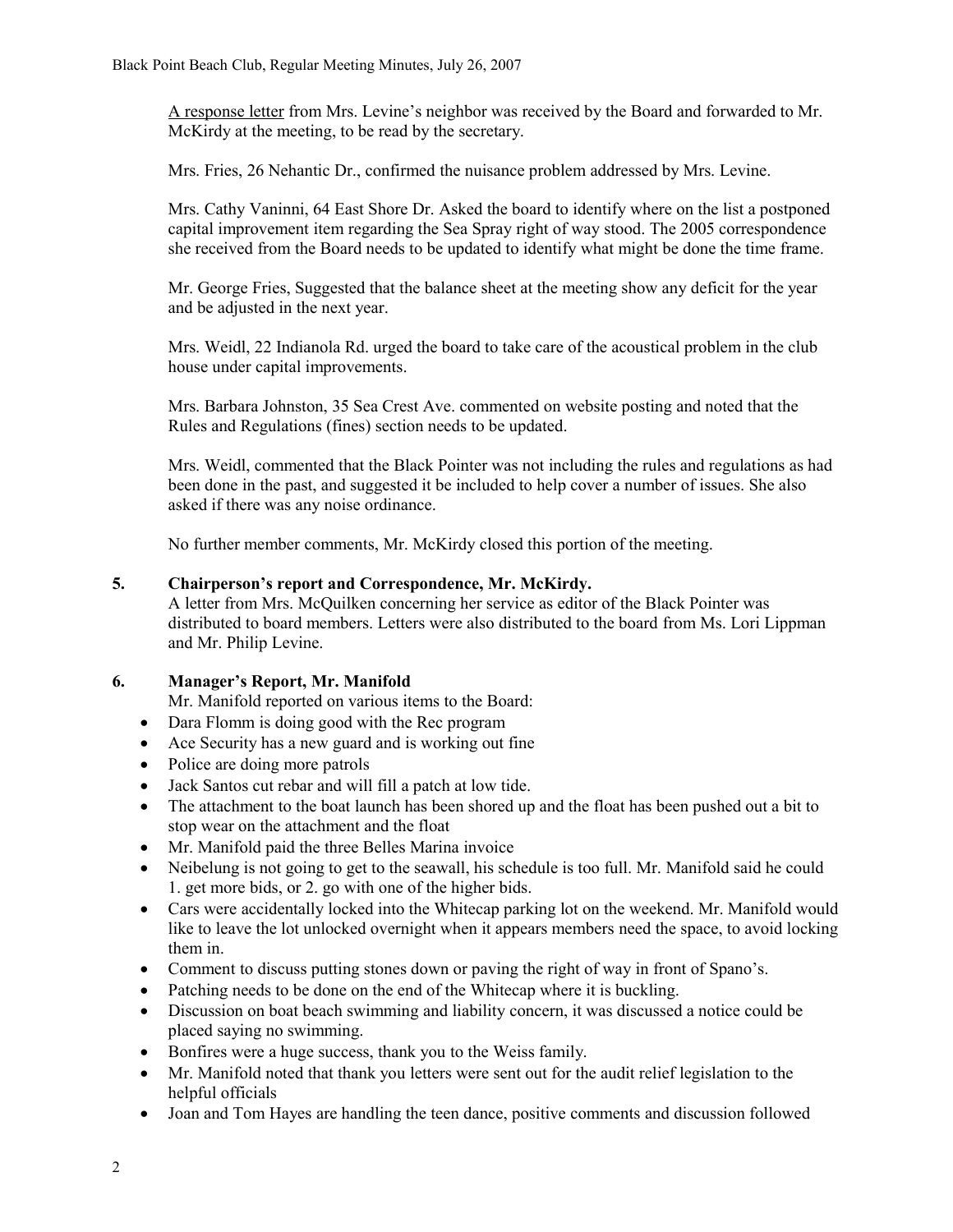A response letter from Mrs. Levine's neighbor was received by the Board and forwarded to Mr. McKirdy at the meeting, to be read by the secretary.

Mrs. Fries, 26 Nehantic Dr., confirmed the nuisance problem addressed by Mrs. Levine.

Mrs. Cathy Vaninni, 64 East Shore Dr. Asked the board to identify where on the list a postponed capital improvement item regarding the Sea Spray right of way stood. The 2005 correspondence she received from the Board needs to be updated to identify what might be done the time frame.

Mr. George Fries, Suggested that the balance sheet at the meeting show any deficit for the year and be adjusted in the next year.

Mrs. Weidl, 22 Indianola Rd. urged the board to take care of the acoustical problem in the club house under capital improvements.

Mrs. Barbara Johnston, 35 Sea Crest Ave. commented on website posting and noted that the Rules and Regulations (fines) section needs to be updated.

Mrs. Weidl, commented that the Black Pointer was not including the rules and regulations as had been done in the past, and suggested it be included to help cover a number of issues. She also asked if there was any noise ordinance.

No further member comments, Mr. McKirdy closed this portion of the meeting.

### **5. Chairperson's report and Correspondence, Mr. McKirdy.**

A letter from Mrs. McQuilken concerning her service as editor of the Black Pointer was distributed to board members. Letters were also distributed to the board from Ms. Lori Lippman and Mr. Philip Levine.

### **6. Manager's Report, Mr. Manifold**

Mr. Manifold reported on various items to the Board:

- Dara Flomm is doing good with the Rec program
- Ace Security has a new guard and is working out fine
- Police are doing more patrols
- Jack Santos cut rebar and will fill a patch at low tide.
- The attachment to the boat launch has been shored up and the float has been pushed out a bit to stop wear on the attachment and the float
- Mr. Manifold paid the three Belles Marina invoice
- Neibelung is not going to get to the seawall, his schedule is too full. Mr. Manifold said he could 1. get more bids, or 2. go with one of the higher bids.
- Cars were accidentally locked into the Whitecap parking lot on the weekend. Mr. Manifold would like to leave the lot unlocked overnight when it appears members need the space, to avoid locking them in.
- Comment to discuss putting stones down or paving the right of way in front of Spano's.
- Patching needs to be done on the end of the Whitecap where it is buckling.
- Discussion on boat beach swimming and liability concern, it was discussed a notice could be placed saying no swimming.
- Bonfires were a huge success, thank you to the Weiss family.
- Mr. Manifold noted that thank you letters were sent out for the audit relief legislation to the helpful officials
- Joan and Tom Hayes are handling the teen dance, positive comments and discussion followed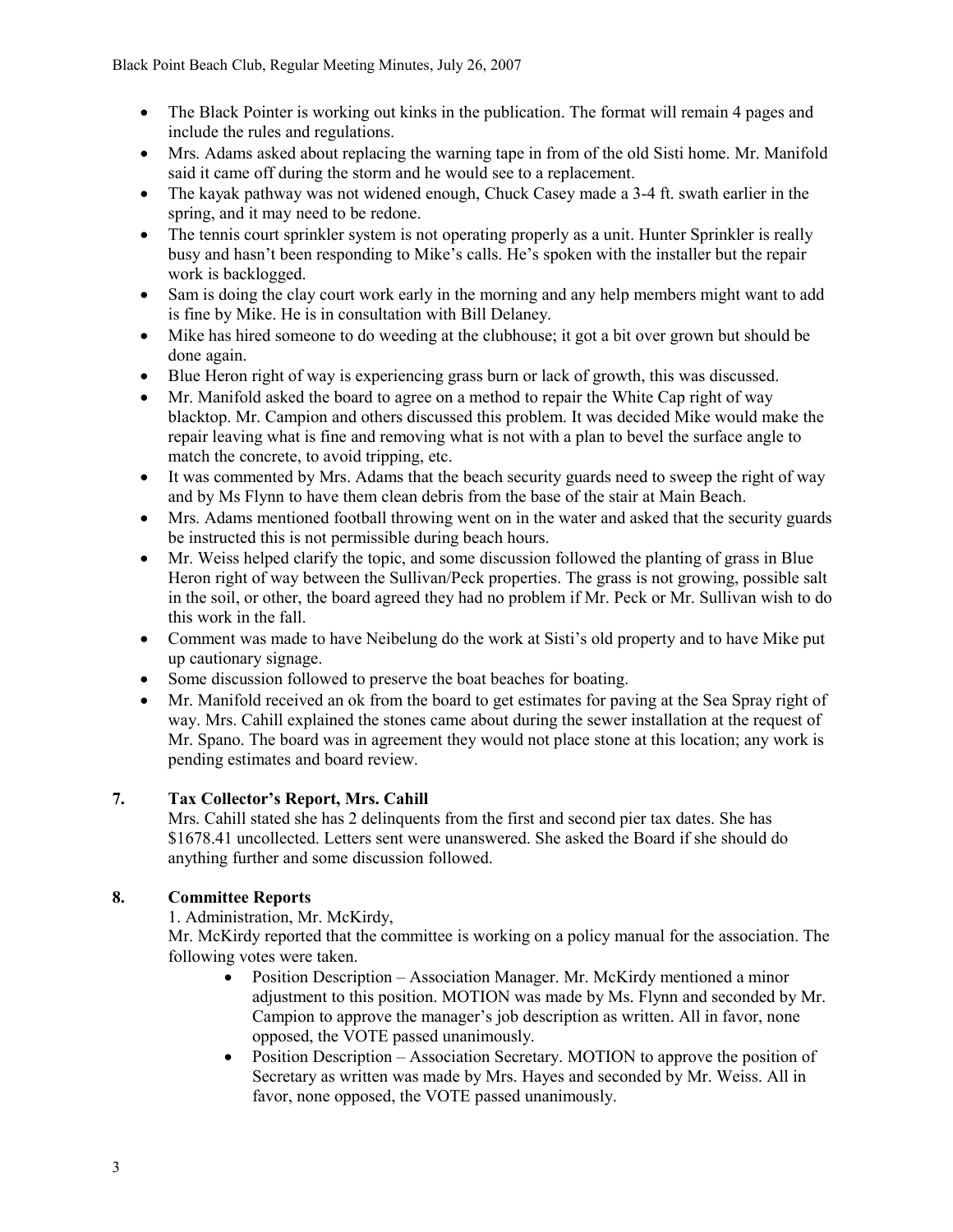- The Black Pointer is working out kinks in the publication. The format will remain 4 pages and include the rules and regulations.
- Mrs. Adams asked about replacing the warning tape in from of the old Sisti home. Mr. Manifold said it came off during the storm and he would see to a replacement.
- The kayak pathway was not widened enough, Chuck Casey made a 3-4 ft. swath earlier in the spring, and it may need to be redone.
- The tennis court sprinkler system is not operating properly as a unit. Hunter Sprinkler is really busy and hasn't been responding to Mike's calls. He's spoken with the installer but the repair work is backlogged.
- Sam is doing the clay court work early in the morning and any help members might want to add is fine by Mike. He is in consultation with Bill Delaney.
- Mike has hired someone to do weeding at the clubhouse; it got a bit over grown but should be done again.
- Blue Heron right of way is experiencing grass burn or lack of growth, this was discussed.
- Mr. Manifold asked the board to agree on a method to repair the White Cap right of way blacktop. Mr. Campion and others discussed this problem. It was decided Mike would make the repair leaving what is fine and removing what is not with a plan to bevel the surface angle to match the concrete, to avoid tripping, etc.
- It was commented by Mrs. Adams that the beach security guards need to sweep the right of way and by Ms Flynn to have them clean debris from the base of the stair at Main Beach.
- Mrs. Adams mentioned football throwing went on in the water and asked that the security guards be instructed this is not permissible during beach hours.
- Mr. Weiss helped clarify the topic, and some discussion followed the planting of grass in Blue Heron right of way between the Sullivan/Peck properties. The grass is not growing, possible salt in the soil, or other, the board agreed they had no problem if Mr. Peck or Mr. Sullivan wish to do this work in the fall.
- Comment was made to have Neibelung do the work at Sisti's old property and to have Mike put up cautionary signage.
- Some discussion followed to preserve the boat beaches for boating.
- Mr. Manifold received an ok from the board to get estimates for paving at the Sea Spray right of way. Mrs. Cahill explained the stones came about during the sewer installation at the request of Mr. Spano. The board was in agreement they would not place stone at this location; any work is pending estimates and board review.

## **7. Tax Collector's Report, Mrs. Cahill**

Mrs. Cahill stated she has 2 delinquents from the first and second pier tax dates. She has \$1678.41 uncollected. Letters sent were unanswered. She asked the Board if she should do anything further and some discussion followed.

## **8. Committee Reports**

1. Administration, Mr. McKirdy,

Mr. McKirdy reported that the committee is working on a policy manual for the association. The following votes were taken.

- Position Description Association Manager. Mr. McKirdy mentioned a minor adjustment to this position. MOTION was made by Ms. Flynn and seconded by Mr. Campion to approve the manager's job description as written. All in favor, none opposed, the VOTE passed unanimously.
- Position Description Association Secretary. MOTION to approve the position of Secretary as written was made by Mrs. Hayes and seconded by Mr. Weiss. All in favor, none opposed, the VOTE passed unanimously.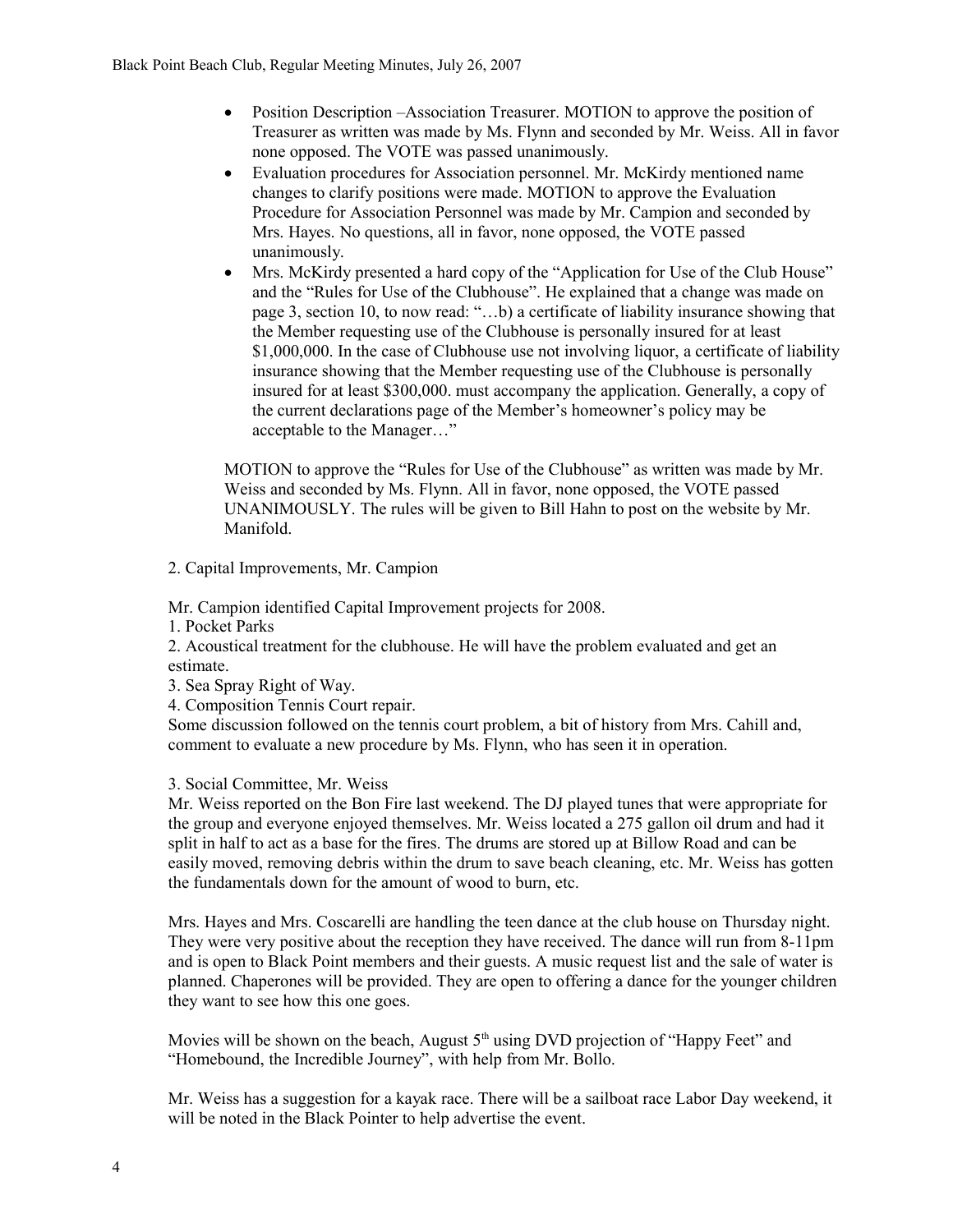- Position Description –Association Treasurer. MOTION to approve the position of Treasurer as written was made by Ms. Flynn and seconded by Mr. Weiss. All in favor none opposed. The VOTE was passed unanimously.
- Evaluation procedures for Association personnel. Mr. McKirdy mentioned name changes to clarify positions were made. MOTION to approve the Evaluation Procedure for Association Personnel was made by Mr. Campion and seconded by Mrs. Hayes. No questions, all in favor, none opposed, the VOTE passed unanimously.
- Mrs. McKirdy presented a hard copy of the "Application for Use of the Club House" and the "Rules for Use of the Clubhouse". He explained that a change was made on page 3, section 10, to now read: "…b) a certificate of liability insurance showing that the Member requesting use of the Clubhouse is personally insured for at least \$1,000,000. In the case of Clubhouse use not involving liquor, a certificate of liability insurance showing that the Member requesting use of the Clubhouse is personally insured for at least \$300,000. must accompany the application. Generally, a copy of the current declarations page of the Member's homeowner's policy may be acceptable to the Manager…"

MOTION to approve the "Rules for Use of the Clubhouse" as written was made by Mr. Weiss and seconded by Ms. Flynn. All in favor, none opposed, the VOTE passed UNANIMOUSLY. The rules will be given to Bill Hahn to post on the website by Mr. Manifold.

2. Capital Improvements, Mr. Campion

Mr. Campion identified Capital Improvement projects for 2008.

1. Pocket Parks

2. Acoustical treatment for the clubhouse. He will have the problem evaluated and get an estimate.

- 3. Sea Spray Right of Way.
- 4. Composition Tennis Court repair.

Some discussion followed on the tennis court problem, a bit of history from Mrs. Cahill and, comment to evaluate a new procedure by Ms. Flynn, who has seen it in operation.

### 3. Social Committee, Mr. Weiss

Mr. Weiss reported on the Bon Fire last weekend. The DJ played tunes that were appropriate for the group and everyone enjoyed themselves. Mr. Weiss located a 275 gallon oil drum and had it split in half to act as a base for the fires. The drums are stored up at Billow Road and can be easily moved, removing debris within the drum to save beach cleaning, etc. Mr. Weiss has gotten the fundamentals down for the amount of wood to burn, etc.

Mrs. Hayes and Mrs. Coscarelli are handling the teen dance at the club house on Thursday night. They were very positive about the reception they have received. The dance will run from 8-11pm and is open to Black Point members and their guests. A music request list and the sale of water is planned. Chaperones will be provided. They are open to offering a dance for the younger children they want to see how this one goes.

Movies will be shown on the beach, August  $5<sup>th</sup>$  using DVD projection of "Happy Feet" and "Homebound, the Incredible Journey", with help from Mr. Bollo.

Mr. Weiss has a suggestion for a kayak race. There will be a sailboat race Labor Day weekend, it will be noted in the Black Pointer to help advertise the event.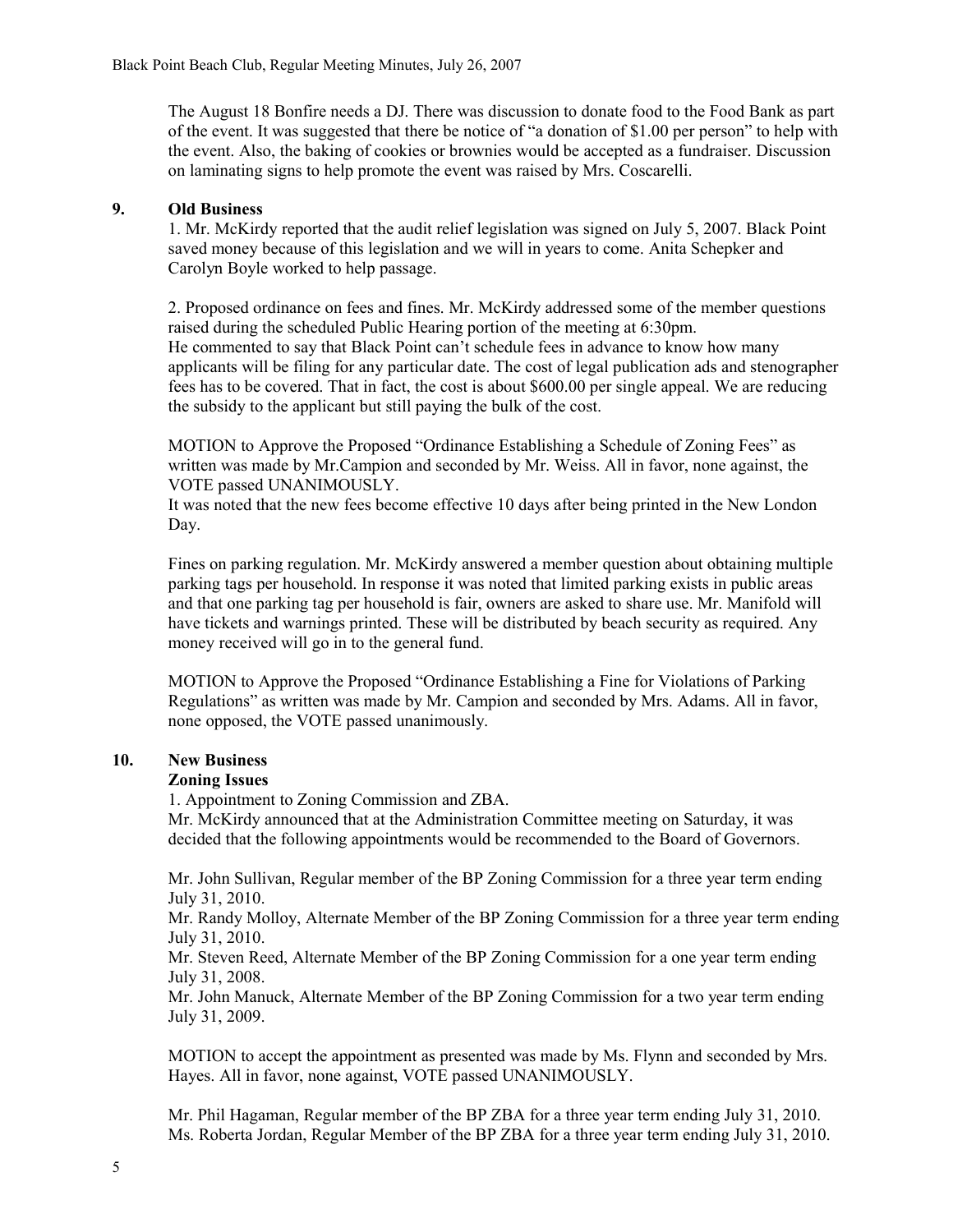The August 18 Bonfire needs a DJ. There was discussion to donate food to the Food Bank as part of the event. It was suggested that there be notice of "a donation of \$1.00 per person" to help with the event. Also, the baking of cookies or brownies would be accepted as a fundraiser. Discussion on laminating signs to help promote the event was raised by Mrs. Coscarelli.

#### **9. Old Business**

1. Mr. McKirdy reported that the audit relief legislation was signed on July 5, 2007. Black Point saved money because of this legislation and we will in years to come. Anita Schepker and Carolyn Boyle worked to help passage.

2. Proposed ordinance on fees and fines. Mr. McKirdy addressed some of the member questions raised during the scheduled Public Hearing portion of the meeting at 6:30pm. He commented to say that Black Point can't schedule fees in advance to know how many applicants will be filing for any particular date. The cost of legal publication ads and stenographer fees has to be covered. That in fact, the cost is about \$600.00 per single appeal. We are reducing the subsidy to the applicant but still paying the bulk of the cost.

MOTION to Approve the Proposed "Ordinance Establishing a Schedule of Zoning Fees" as written was made by Mr.Campion and seconded by Mr. Weiss. All in favor, none against, the VOTE passed UNANIMOUSLY.

It was noted that the new fees become effective 10 days after being printed in the New London Day.

Fines on parking regulation. Mr. McKirdy answered a member question about obtaining multiple parking tags per household. In response it was noted that limited parking exists in public areas and that one parking tag per household is fair, owners are asked to share use. Mr. Manifold will have tickets and warnings printed. These will be distributed by beach security as required. Any money received will go in to the general fund.

MOTION to Approve the Proposed "Ordinance Establishing a Fine for Violations of Parking Regulations" as written was made by Mr. Campion and seconded by Mrs. Adams. All in favor, none opposed, the VOTE passed unanimously.

### **10. New Business**

#### **Zoning Issues**

1. Appointment to Zoning Commission and ZBA.

Mr. McKirdy announced that at the Administration Committee meeting on Saturday, it was decided that the following appointments would be recommended to the Board of Governors.

Mr. John Sullivan, Regular member of the BP Zoning Commission for a three year term ending July 31, 2010.

Mr. Randy Molloy, Alternate Member of the BP Zoning Commission for a three year term ending July 31, 2010.

Mr. Steven Reed, Alternate Member of the BP Zoning Commission for a one year term ending July 31, 2008.

Mr. John Manuck, Alternate Member of the BP Zoning Commission for a two year term ending July 31, 2009.

MOTION to accept the appointment as presented was made by Ms. Flynn and seconded by Mrs. Hayes. All in favor, none against, VOTE passed UNANIMOUSLY.

Mr. Phil Hagaman, Regular member of the BP ZBA for a three year term ending July 31, 2010. Ms. Roberta Jordan, Regular Member of the BP ZBA for a three year term ending July 31, 2010.